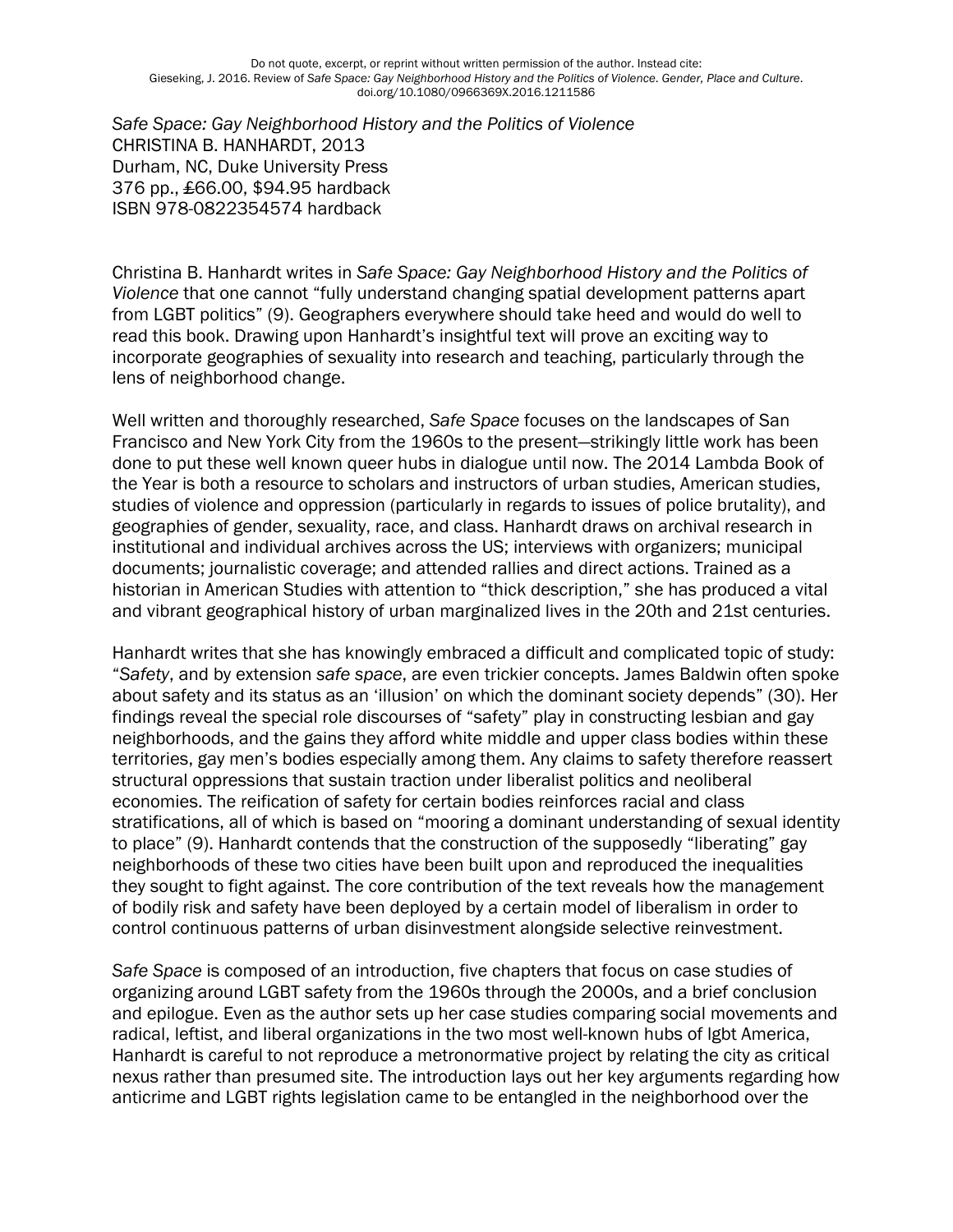*Safe Space: Gay Neighborhood History and the Politics of Violence* CHRISTINA B. HANHARDT, 2013 Durham, NC, Duke University Press 376 pp., £66.00, \$94.95 hardback ISBN 978-0822354574 hardback

Christina B. Hanhardt writes in *Safe Space: Gay Neighborhood History and the Politics of Violence* that one cannot "fully understand changing spatial development patterns apart from LGBT politics" (9). Geographers everywhere should take heed and would do well to read this book. Drawing upon Hanhardt's insightful text will prove an exciting way to incorporate geographies of sexuality into research and teaching, particularly through the lens of neighborhood change.

Well written and thoroughly researched, *Safe Space* focuses on the landscapes of San Francisco and New York City from the 1960s to the present—strikingly little work has been done to put these well known queer hubs in dialogue until now. The 2014 Lambda Book of the Year is both a resource to scholars and instructors of urban studies, American studies, studies of violence and oppression (particularly in regards to issues of police brutality), and geographies of gender, sexuality, race, and class. Hanhardt draws on archival research in institutional and individual archives across the US; interviews with organizers; municipal documents; journalistic coverage; and attended rallies and direct actions. Trained as a historian in American Studies with attention to "thick description," she has produced a vital and vibrant geographical history of urban marginalized lives in the 20th and 21st centuries.

Hanhardt writes that she has knowingly embraced a difficult and complicated topic of study: "*Safety*, and by extension *safe space*, are even trickier concepts. James Baldwin often spoke about safety and its status as an 'illusion' on which the dominant society depends" (30). Her findings reveal the special role discourses of "safety" play in constructing lesbian and gay neighborhoods, and the gains they afford white middle and upper class bodies within these territories, gay men's bodies especially among them. Any claims to safety therefore reassert structural oppressions that sustain traction under liberalist politics and neoliberal economies. The reification of safety for certain bodies reinforces racial and class stratifications, all of which is based on "mooring a dominant understanding of sexual identity to place" (9). Hanhardt contends that the construction of the supposedly "liberating" gay neighborhoods of these two cities have been built upon and reproduced the inequalities they sought to fight against. The core contribution of the text reveals how the management of bodily risk and safety have been deployed by a certain model of liberalism in order to control continuous patterns of urban disinvestment alongside selective reinvestment.

*Safe Space* is composed of an introduction, five chapters that focus on case studies of organizing around LGBT safety from the 1960s through the 2000s, and a brief conclusion and epilogue. Even as the author sets up her case studies comparing social movements and radical, leftist, and liberal organizations in the two most well-known hubs of lgbt America, Hanhardt is careful to not reproduce a metronormative project by relating the city as critical nexus rather than presumed site. The introduction lays out her key arguments regarding how anticrime and LGBT rights legislation came to be entangled in the neighborhood over the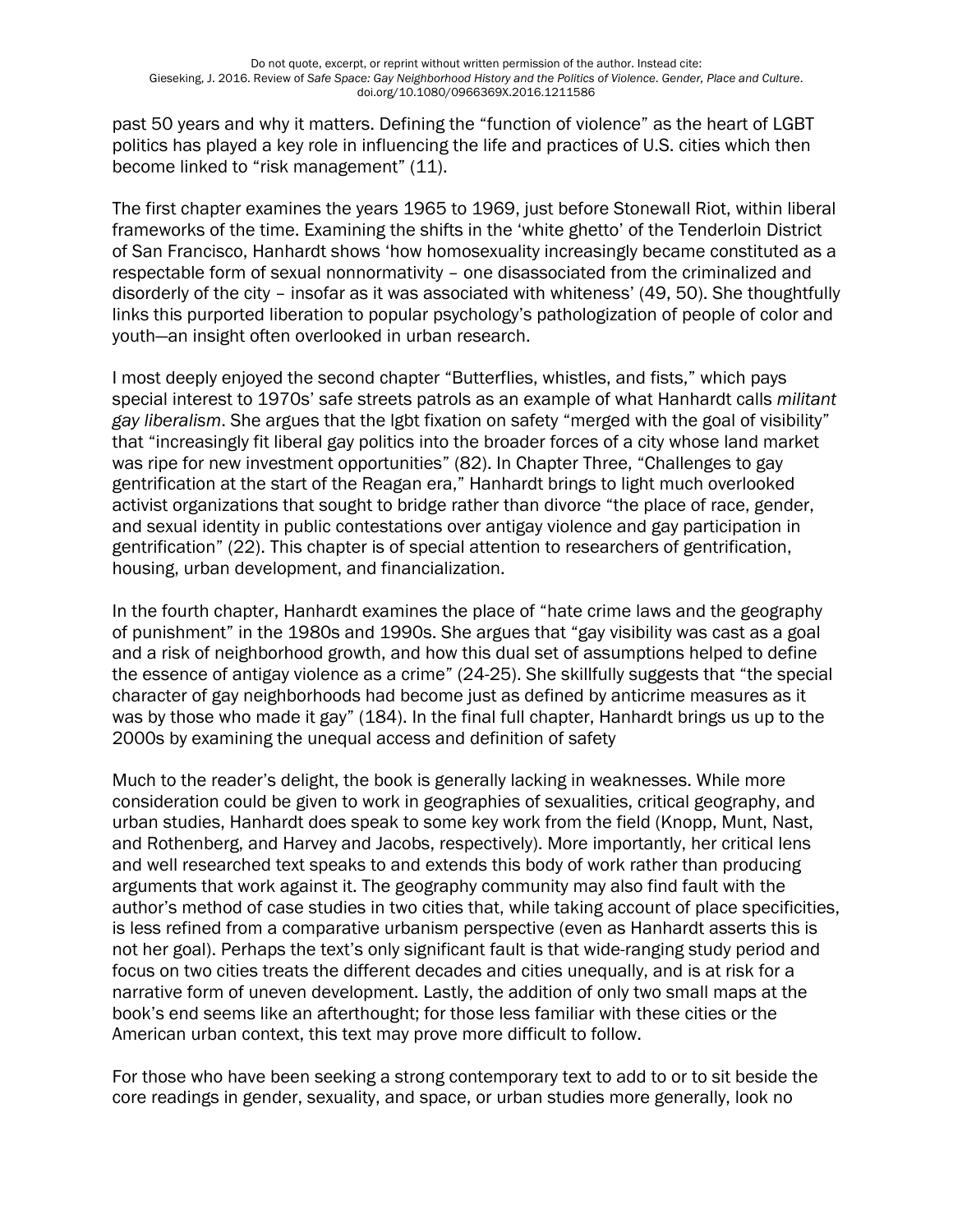past 50 years and why it matters. Defining the "function of violence" as the heart of LGBT politics has played a key role in influencing the life and practices of U.S. cities which then become linked to "risk management" (11).

The first chapter examines the years 1965 to 1969, just before Stonewall Riot, within liberal frameworks of the time. Examining the shifts in the 'white ghetto' of the Tenderloin District of San Francisco, Hanhardt shows 'how homosexuality increasingly became constituted as a respectable form of sexual nonnormativity – one disassociated from the criminalized and disorderly of the city – insofar as it was associated with whiteness' (49, 50). She thoughtfully links this purported liberation to popular psychology's pathologization of people of color and youth—an insight often overlooked in urban research.

I most deeply enjoyed the second chapter "Butterflies, whistles, and fists," which pays special interest to 1970s' safe streets patrols as an example of what Hanhardt calls *militant gay liberalism*. She argues that the lgbt fixation on safety "merged with the goal of visibility" that "increasingly fit liberal gay politics into the broader forces of a city whose land market was ripe for new investment opportunities" (82). In Chapter Three, "Challenges to gay gentrification at the start of the Reagan era," Hanhardt brings to light much overlooked activist organizations that sought to bridge rather than divorce "the place of race, gender, and sexual identity in public contestations over antigay violence and gay participation in gentrification" (22). This chapter is of special attention to researchers of gentrification, housing, urban development, and financialization.

In the fourth chapter, Hanhardt examines the place of "hate crime laws and the geography of punishment" in the 1980s and 1990s. She argues that "gay visibility was cast as a goal and a risk of neighborhood growth, and how this dual set of assumptions helped to define the essence of antigay violence as a crime" (24-25). She skillfully suggests that "the special character of gay neighborhoods had become just as defined by anticrime measures as it was by those who made it gay" (184). In the final full chapter, Hanhardt brings us up to the 2000s by examining the unequal access and definition of safety

Much to the reader's delight, the book is generally lacking in weaknesses. While more consideration could be given to work in geographies of sexualities, critical geography, and urban studies, Hanhardt does speak to some key work from the field (Knopp, Munt, Nast, and Rothenberg, and Harvey and Jacobs, respectively). More importantly, her critical lens and well researched text speaks to and extends this body of work rather than producing arguments that work against it. The geography community may also find fault with the author's method of case studies in two cities that, while taking account of place specificities, is less refined from a comparative urbanism perspective (even as Hanhardt asserts this is not her goal). Perhaps the text's only significant fault is that wide-ranging study period and focus on two cities treats the different decades and cities unequally, and is at risk for a narrative form of uneven development. Lastly, the addition of only two small maps at the book's end seems like an afterthought; for those less familiar with these cities or the American urban context, this text may prove more difficult to follow.

For those who have been seeking a strong contemporary text to add to or to sit beside the core readings in gender, sexuality, and space, or urban studies more generally, look no